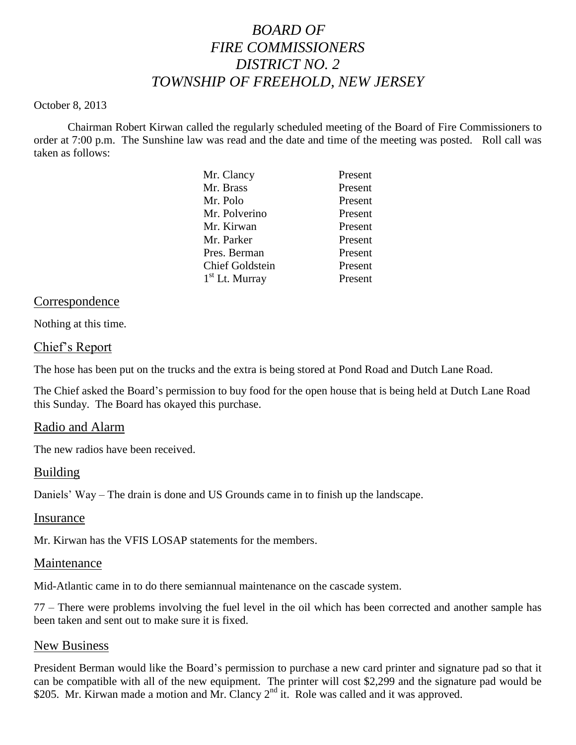# *BOARD OF FIRE COMMISSIONERS DISTRICT NO. 2 TOWNSHIP OF FREEHOLD, NEW JERSEY*

#### October 8, 2013

Chairman Robert Kirwan called the regularly scheduled meeting of the Board of Fire Commissioners to order at 7:00 p.m. The Sunshine law was read and the date and time of the meeting was posted. Roll call was taken as follows:

| Mr. Clancy             | Present |
|------------------------|---------|
| Mr. Brass              | Present |
| Mr. Polo               | Present |
| Mr. Polverino          | Present |
| Mr. Kirwan             | Present |
| Mr. Parker             | Present |
| Pres. Berman           | Present |
| <b>Chief Goldstein</b> | Present |
| $1st$ Lt. Murray       | Present |
|                        |         |

#### Correspondence

Nothing at this time.

#### Chief's Report

The hose has been put on the trucks and the extra is being stored at Pond Road and Dutch Lane Road.

The Chief asked the Board's permission to buy food for the open house that is being held at Dutch Lane Road this Sunday. The Board has okayed this purchase.

#### Radio and Alarm

The new radios have been received.

#### **Building**

Daniels' Way – The drain is done and US Grounds came in to finish up the landscape.

#### Insurance

Mr. Kirwan has the VFIS LOSAP statements for the members.

#### Maintenance

Mid-Atlantic came in to do there semiannual maintenance on the cascade system.

77 – There were problems involving the fuel level in the oil which has been corrected and another sample has been taken and sent out to make sure it is fixed.

#### New Business

President Berman would like the Board's permission to purchase a new card printer and signature pad so that it can be compatible with all of the new equipment. The printer will cost \$2,299 and the signature pad would be \$205. Mr. Kirwan made a motion and Mr. Clancy 2<sup>nd</sup> it. Role was called and it was approved.